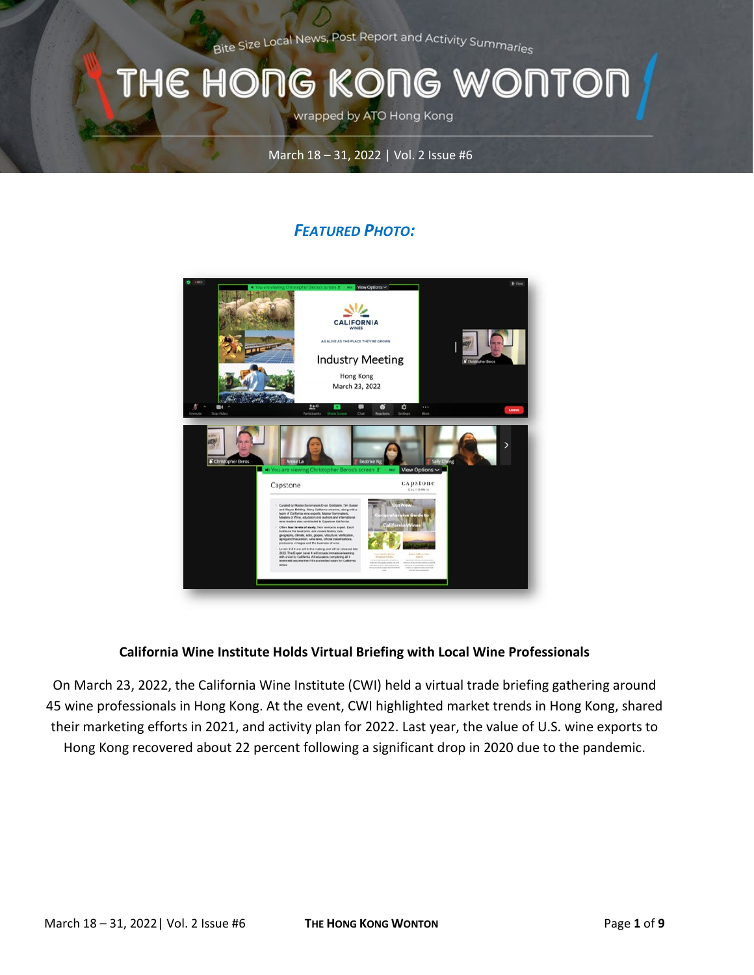Bite Size Local News, Post Report and Activity Summaries

## THE HONG KONG WONTOI

wrapped by ATO Hong Kong

### March 18 – 31, 2022 | Vol. 2 Issue #6

## *FEATURED PHOTO:*



### **California Wine Institute Holds Virtual Briefing with Local Wine Professionals**

On March 23, 2022, the California Wine Institute (CWI) held a virtual trade briefing gathering around 45 wine professionals in Hong Kong. At the event, CWI highlighted market trends in Hong Kong, shared their marketing efforts in 2021, and activity plan for 2022. Last year, the value of U.S. wine exports to Hong Kong recovered about 22 percent following a significant drop in 2020 due to the pandemic.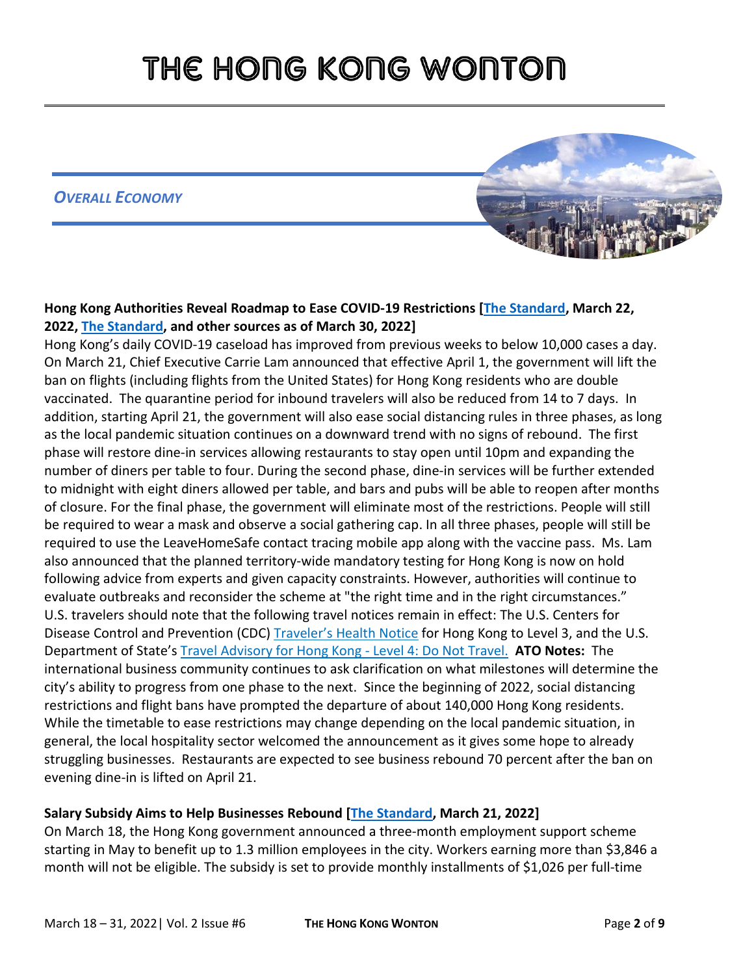*OVERALL ECONOMY*



## **Hong Kong Authorities Reveal Roadmap to Ease COVID-19 Restrictions [\[The Standard,](https://www.thestandard.com.hk/section-news/section/11/240042/Path-to-relaxed-curbs-starts-after-a-month) March 22, 2022, [The Standard,](https://www.thestandard.com.hk/section-news/section/11/240040/We) and other sources as of March 30, 2022]**

Hong Kong's daily COVID-19 caseload has improved from previous weeks to below 10,000 cases a day. On March 21, Chief Executive Carrie Lam announced that effective April 1, the government will lift the ban on flights (including flights from the United States) for Hong Kong residents who are double vaccinated. The quarantine period for inbound travelers will also be reduced from 14 to 7 days. In addition, starting April 21, the government will also ease social distancing rules in three phases, as long as the local pandemic situation continues on a downward trend with no signs of rebound. The first phase will restore dine-in services allowing restaurants to stay open until 10pm and expanding the number of diners per table to four. During the second phase, dine-in services will be further extended to midnight with eight diners allowed per table, and bars and pubs will be able to reopen after months of closure. For the final phase, the government will eliminate most of the restrictions. People will still be required to wear a mask and observe a social gathering cap. In all three phases, people will still be required to use the LeaveHomeSafe contact tracing mobile app along with the vaccine pass. Ms. Lam also announced that the planned territory-wide mandatory testing for Hong Kong is now on hold following advice from experts and given capacity constraints. However, authorities will continue to evaluate outbreaks and reconsider the scheme at "the right time and in the right circumstances." U.S. travelers should note that the following travel notices remain in effect: The U.S. Centers for Disease Control and Prevention (CDC) [Traveler's Health Notice](https://wwwnc.cdc.gov/travel/notices/covid-3/coronavirus-hong-kong) for Hong Kong to Level 3, and the U.S. Department of State's [Travel Advisory for Hong Kong -](https://travel.state.gov/content/travel/en/international-travel/International-Travel-Country-Information-Pages/HongKong.html) Level 4: Do Not Travel. **ATO Notes:** The international business community continues to ask clarification on what milestones will determine the city's ability to progress from one phase to the next. Since the beginning of 2022, social distancing restrictions and flight bans have prompted the departure of about 140,000 Hong Kong residents. While the timetable to ease restrictions may change depending on the local pandemic situation, in general, the local hospitality sector welcomed the announcement as it gives some hope to already struggling businesses. Restaurants are expected to see business rebound 70 percent after the ban on evening dine-in is lifted on April 21.

### **Salary Subsidy Aims to Help Businesses Rebound [\[The Standard,](https://www.thestandard.com.hk/section-news/section/4/239988/Salary-subsidy-aimed-at-helping-firms-) March 21, 2022]**

On March 18, the Hong Kong government announced a three-month employment support scheme starting in May to benefit up to 1.3 million employees in the city. Workers earning more than \$3,846 a month will not be eligible. The subsidy is set to provide monthly installments of \$1,026 per full-time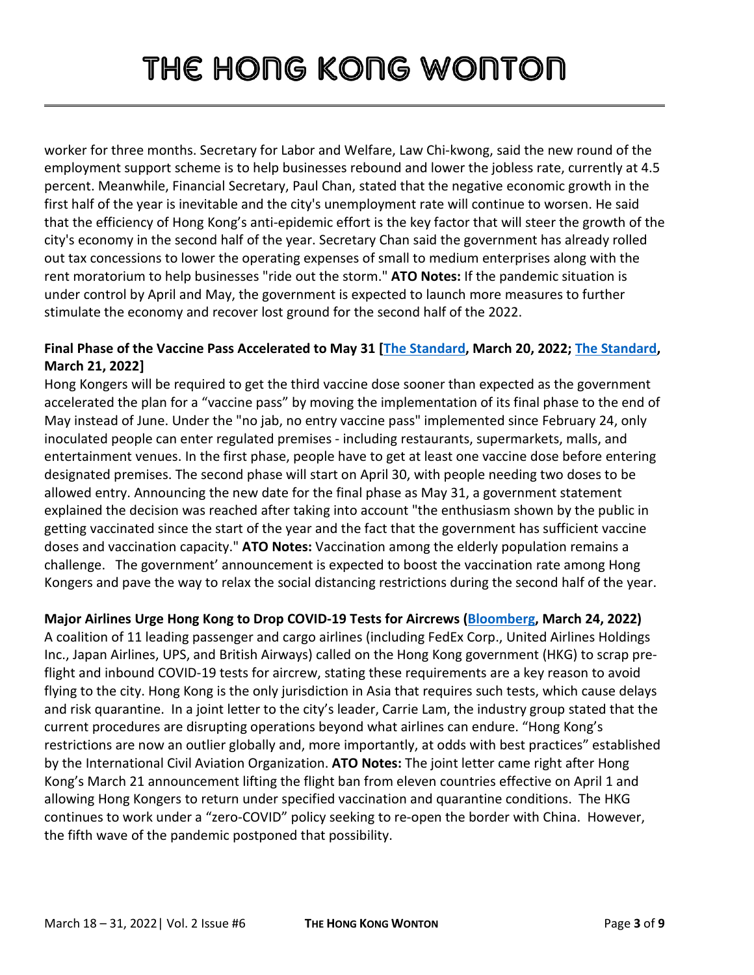worker for three months. Secretary for Labor and Welfare, Law Chi-kwong, said the new round of the employment support scheme is to help businesses rebound and lower the jobless rate, currently at 4.5 percent. Meanwhile, Financial Secretary, Paul Chan, stated that the negative economic growth in the first half of the year is inevitable and the city's unemployment rate will continue to worsen. He said that the efficiency of Hong Kong's anti-epidemic effort is the key factor that will steer the growth of the city's economy in the second half of the year. Secretary Chan said the government has already rolled out tax concessions to lower the operating expenses of small to medium enterprises along with the rent moratorium to help businesses "ride out the storm." **ATO Notes:** If the pandemic situation is under control by April and May, the government is expected to launch more measures to further stimulate the economy and recover lost ground for the second half of the 2022.

## **Final Phase of the Vaccine Pass Accelerated to May 31 [\[The Standard,](https://www.thestandard.com.hk/breaking-news/section/4/188324/Final-phase-of-) March 20, 2022; [The Standard,](https://www.thestandard.com.hk/section-news/section/11/239995/Third-jab-essential-by-May-31) March 21, 2022]**

Hong Kongers will be required to get the third vaccine dose sooner than expected as the government accelerated the plan for a "vaccine pass" by moving the implementation of its final phase to the end of May instead of June. Under the "no jab, no entry vaccine pass" implemented since February 24, only inoculated people can enter regulated premises - including restaurants, supermarkets, malls, and entertainment venues. In the first phase, people have to get at least one vaccine dose before entering designated premises. The second phase will start on April 30, with people needing two doses to be allowed entry. Announcing the new date for the final phase as May 31, a government statement explained the decision was reached after taking into account "the enthusiasm shown by the public in getting vaccinated since the start of the year and the fact that the government has sufficient vaccine doses and vaccination capacity." **ATO Notes:** Vaccination among the elderly population remains a challenge. The government' announcement is expected to boost the vaccination rate among Hong Kongers and pave the way to relax the social distancing restrictions during the second half of the year.

## **Major Airlines Urge Hong Kong to Drop COVID-19 Tests for Aircrews [\(Bloomberg,](https://www.bloomberg.com/news/articles/2022-03-24/hong-kong-urged-by-major-airlines-to-drop-covid-tests-for-crew) March 24, 2022)**

A coalition of 11 leading passenger and cargo airlines (including FedEx Corp., United Airlines Holdings Inc., Japan Airlines, UPS, and British Airways) called on the Hong Kong government (HKG) to scrap preflight and inbound COVID-19 tests for aircrew, stating these requirements are a key reason to avoid flying to the city. Hong Kong is the only jurisdiction in Asia that requires such tests, which cause delays and risk quarantine. In a joint letter to the city's leader, Carrie Lam, the industry group stated that the current procedures are disrupting operations beyond what airlines can endure. "Hong Kong's restrictions are now an outlier globally and, more importantly, at odds with best practices" established by the International Civil Aviation Organization. **ATO Notes:** The joint letter came right after Hong Kong's March 21 announcement lifting the flight ban from eleven countries effective on April 1 and allowing Hong Kongers to return under specified vaccination and quarantine conditions. The HKG continues to work under a "zero-COVID" policy seeking to re-open the border with China. However, the fifth wave of the pandemic postponed that possibility.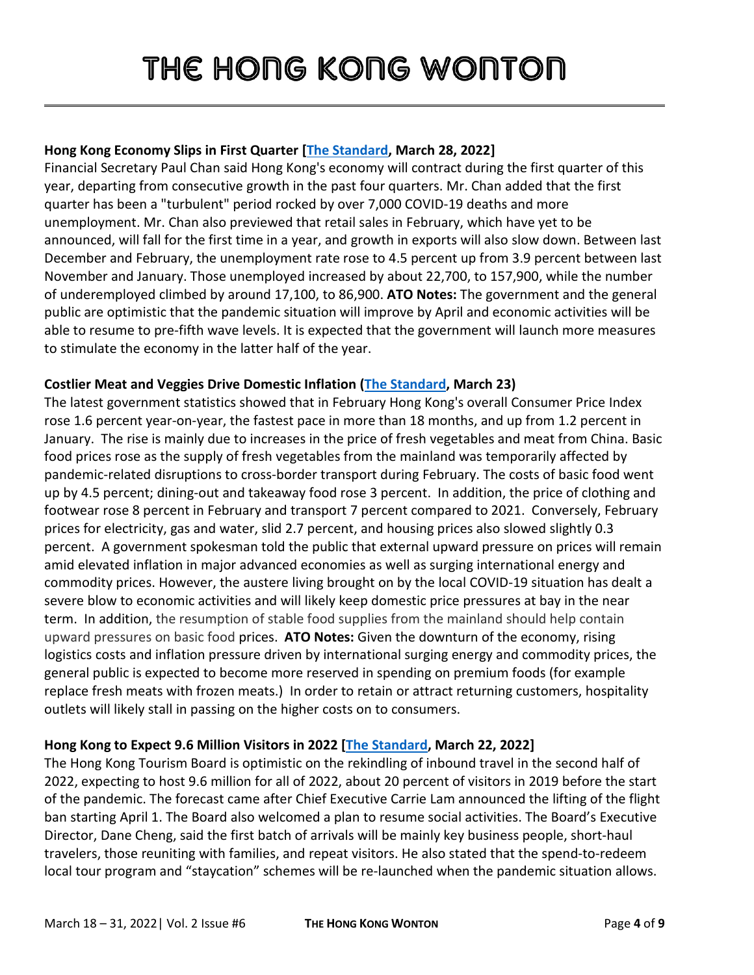## **Hong Kong Economy Slips in First Quarter [\[The Standard,](https://www.thestandard.com.hk/section-news/section/11/240229/SAR-economy-slips-in-the-first-quarter) March 28, 2022]**

Financial Secretary Paul Chan said Hong Kong's economy will contract during the first quarter of this year, departing from consecutive growth in the past four quarters. Mr. Chan added that the first quarter has been a "turbulent" period rocked by over 7,000 COVID-19 deaths and more unemployment. Mr. Chan also previewed that retail sales in February, which have yet to be announced, will fall for the first time in a year, and growth in exports will also slow down. Between last December and February, the unemployment rate rose to 4.5 percent up from 3.9 percent between last November and January. Those unemployed increased by about 22,700, to 157,900, while the number of underemployed climbed by around 17,100, to 86,900. **ATO Notes:** The government and the general public are optimistic that the pandemic situation will improve by April and economic activities will be able to resume to pre-fifth wave levels. It is expected that the government will launch more measures to stimulate the economy in the latter half of the year.

### **Costlier Meat and Veggies Drive Domestic Inflation [\(The Standard,](https://www.thestandard.com.hk/section-news/section/2/240004/Costlier-meat,-veggies-drive-inflation-higher) March 23)**

The latest government statistics showed that in February Hong Kong's overall Consumer Price Index rose 1.6 percent year-on-year, the fastest pace in more than 18 months, and up from 1.2 percent in January. The rise is mainly due to increases in the price of fresh vegetables and meat from China. Basic food prices rose as the supply of fresh vegetables from the mainland was temporarily affected by pandemic-related disruptions to cross-border transport during February. The costs of basic food went up by 4.5 percent; dining-out and takeaway food rose 3 percent. In addition, the price of clothing and footwear rose 8 percent in February and transport 7 percent compared to 2021. Conversely, February prices for electricity, gas and water, slid 2.7 percent, and housing prices also slowed slightly 0.3 percent. A government spokesman told the public that external upward pressure on prices will remain amid elevated inflation in major advanced economies as well as surging international energy and commodity prices. However, the austere living brought on by the local COVID-19 situation has dealt a severe blow to economic activities and will likely keep domestic price pressures at bay in the near term. In addition, the resumption of stable food supplies from the mainland should help contain upward pressures on basic food prices. **ATO Notes:** Given the downturn of the economy, rising logistics costs and inflation pressure driven by international surging energy and commodity prices, the general public is expected to become more reserved in spending on premium foods (for example replace fresh meats with frozen meats.) In order to retain or attract returning customers, hospitality outlets will likely stall in passing on the higher costs on to consumers.

### **Hong Kong to Expect 9.6 Million Visitors in 2022 [\[The Standard,](https://www.thestandard.com.hk/section-news/section/11/240039/Rising-hope-for-travel-revival) March 22, 2022]**

The Hong Kong Tourism Board is optimistic on the rekindling of inbound travel in the second half of 2022, expecting to host 9.6 million for all of 2022, about 20 percent of visitors in 2019 before the start of the pandemic. The forecast came after Chief Executive Carrie Lam announced the lifting of the flight ban starting April 1. The Board also welcomed a plan to resume social activities. The Board's Executive Director, Dane Cheng, said the first batch of arrivals will be mainly key business people, short-haul travelers, those reuniting with families, and repeat visitors. He also stated that the spend-to-redeem local tour program and "staycation" schemes will be re-launched when the pandemic situation allows.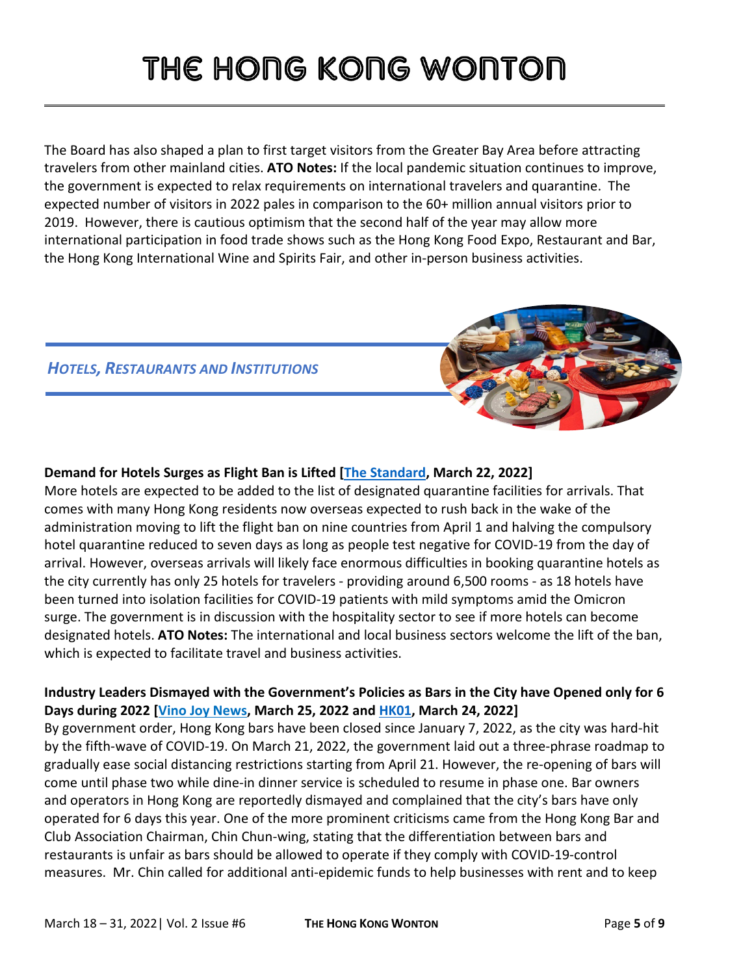The Board has also shaped a plan to first target visitors from the Greater Bay Area before attracting travelers from other mainland cities. **ATO Notes:** If the local pandemic situation continues to improve, the government is expected to relax requirements on international travelers and quarantine. The expected number of visitors in 2022 pales in comparison to the 60+ million annual visitors prior to 2019. However, there is cautious optimism that the second half of the year may allow more international participation in food trade shows such as the Hong Kong Food Expo, Restaurant and Bar, the Hong Kong International Wine and Spirits Fair, and other in-person business activities.

## *HOTELS, RESTAURANTS AND INSTITUTIONS*



## **Demand for Hotels Surges as Flight Ban is Lifted [\[The Standard,](https://www.thestandard.com.hk/section-news/section/11/240038/Scramble-for-hotels-as-flight-ban-lifted) March 22, 2022]**

More hotels are expected to be added to the list of designated quarantine facilities for arrivals. That comes with many Hong Kong residents now overseas expected to rush back in the wake of the administration moving to lift the flight ban on nine countries from April 1 and halving the compulsory hotel quarantine reduced to seven days as long as people test negative for COVID-19 from the day of arrival. However, overseas arrivals will likely face enormous difficulties in booking quarantine hotels as the city currently has only 25 hotels for travelers - providing around 6,500 rooms - as 18 hotels have been turned into isolation facilities for COVID-19 patients with mild symptoms amid the Omicron surge. The government is in discussion with the hospitality sector to see if more hotels can become designated hotels. **ATO Notes:** The international and local business sectors welcome the lift of the ban, which is expected to facilitate travel and business activities.

## **Industry Leaders Dismayed with the Government's Policies as Bars in the City have Opened only for 6 Days during 2022 [\[Vino Joy News,](https://vino-joy.com/2022/03/25/bar-industry-leaders-bars-in-hk-opened-for-only-6-days-this-year/) March 25, 2022 and [HK01,](https://www.hk01.com/18%E5%8D%80%E6%96%B0%E8%81%9E/750507/%E7%96%AB%E6%83%85-%E9%85%92%E5%90%A7%E7%AC%AC%E4%BA%8C%E9%9A%8E%E6%AE%B5%E6%89%8D%E6%94%BE%E5%AF%AC-%E6%A5%AD%E7%95%8C%E6%84%9F%E4%B8%8D%E5%85%AC%E7%9B%BC%E6%8E%A8%E8%A3%9C%E5%8A%A9-%E4%BB%8A%E5%B9%B4%E5%8F%AA%E7%87%9F%E6%A5%AD6%E5%A4%A9) March 24, 2022]**

By government order, Hong Kong bars have been closed since January 7, 2022, as the city was hard-hit by the fifth-wave of COVID-19. On March 21, 2022, the government laid out a three-phrase roadmap to gradually ease social distancing restrictions starting from April 21. However, the re-opening of bars will come until phase two while dine-in dinner service is scheduled to resume in phase one. Bar owners and operators in Hong Kong are reportedly dismayed and complained that the city's bars have only operated for 6 days this year. One of the more prominent criticisms came from the Hong Kong Bar and Club Association Chairman, Chin Chun-wing, stating that the differentiation between bars and restaurants is unfair as bars should be allowed to operate if they comply with COVID-19-control measures. Mr. Chin called for additional anti-epidemic funds to help businesses with rent and to keep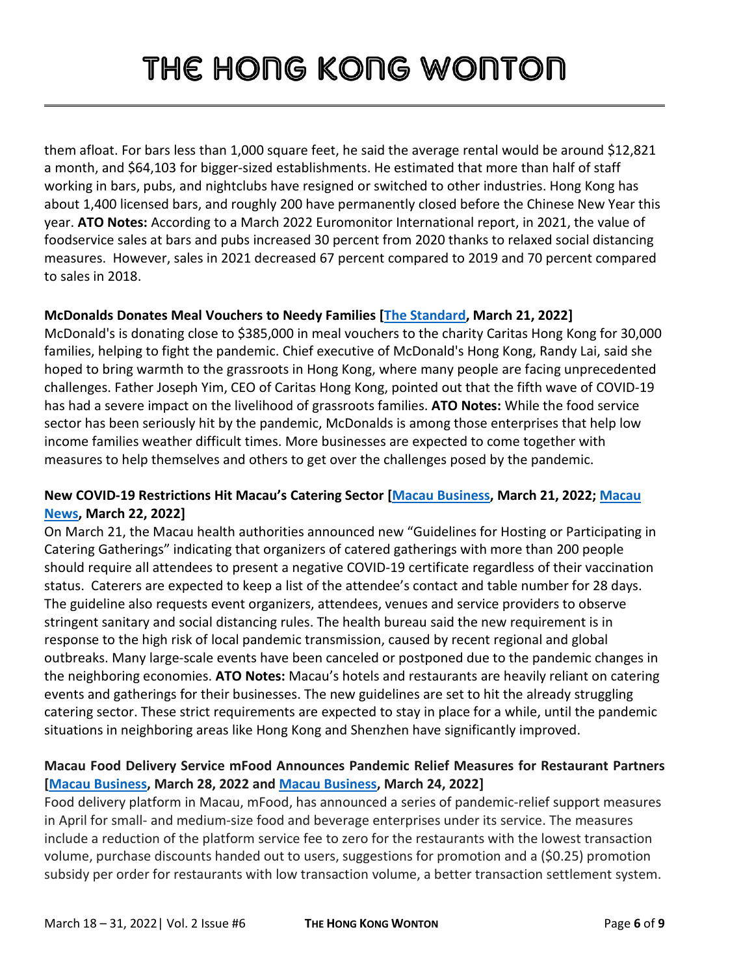them afloat. For bars less than 1,000 square feet, he said the average rental would be around \$12,821 a month, and \$64,103 for bigger-sized establishments. He estimated that more than half of staff working in bars, pubs, and nightclubs have resigned or switched to other industries. Hong Kong has about 1,400 licensed bars, and roughly 200 have permanently closed before the Chinese New Year this year. **ATO Notes:** According to a March 2022 Euromonitor International report, in 2021, the value of foodservice sales at bars and pubs increased 30 percent from 2020 thanks to relaxed social distancing measures. However, sales in 2021 decreased 67 percent compared to 2019 and 70 percent compared to sales in 2018.

## **McDonalds Donates Meal Vouchers to Needy Families [\[The Standard,](https://www.thestandard.com.hk/breaking-news/section/4/188362/McDonalds-donates-meal-vouchers-to-30,000-families-in-need) March 21, 2022]**

McDonald's is donating close to \$385,000 in meal vouchers to the charity Caritas Hong Kong for 30,000 families, helping to fight the pandemic. Chief executive of McDonald's Hong Kong, Randy Lai, said she hoped to bring warmth to the grassroots in Hong Kong, where many people are facing unprecedented challenges. Father Joseph Yim, CEO of Caritas Hong Kong, pointed out that the fifth wave of COVID-19 has had a severe impact on the livelihood of grassroots families. **ATO Notes:** While the food service sector has been seriously hit by the pandemic, McDonalds is among those enterprises that help low income families weather difficult times. More businesses are expected to come together with measures to help themselves and others to get over the challenges posed by the pandemic.

### **New COVID-19 Restrictions Hit Macau's Catering Sector [\[Macau Business,](https://www.macaubusiness.com/large-dining-events-with-more-than-200-people-to-require-negative-covid-test-result-for-entry/) March 21, 2022; [Macau](https://macaonews.org/covid-19/banquets-hit-with-complex-new-covid-19-restrictions/) [News,](https://macaonews.org/covid-19/banquets-hit-with-complex-new-covid-19-restrictions/) March 22, 2022]**

On March 21, the Macau health authorities announced new "Guidelines for Hosting or Participating in Catering Gatherings" indicating that organizers of catered gatherings with more than 200 people should require all attendees to present a negative COVID-19 certificate regardless of their vaccination status. Caterers are expected to keep a list of the attendee's contact and table number for 28 days. The guideline also requests event organizers, attendees, venues and service providers to observe stringent sanitary and social distancing rules. The health bureau said the new requirement is in response to the high risk of local pandemic transmission, caused by recent regional and global outbreaks. Many large-scale events have been canceled or postponed due to the pandemic changes in the neighboring economies. **ATO Notes:** Macau's hotels and restaurants are heavily reliant on catering events and gatherings for their businesses. The new guidelines are set to hit the already struggling catering sector. These strict requirements are expected to stay in place for a while, until the pandemic situations in neighboring areas like Hong Kong and Shenzhen have significantly improved.

### **Macau Food Delivery Service mFood Announces Pandemic Relief Measures for Restaurant Partners [\[Macau Business,](https://www.macaubusiness.com/food-delivery-service-mfood-announces-relief-measures-for-merchants/) March 28, 2022 and [Macau Business,](https://www.macaubusiness.com/macau-pass-acquisition-by-alibaba-affiliate-completed/) March 24, 2022]**

Food delivery platform in Macau, mFood, has announced a series of pandemic-relief support measures in April for small- and medium-size food and beverage enterprises under its service. The measures include a reduction of the platform service fee to zero for the restaurants with the lowest transaction volume, purchase discounts handed out to users, suggestions for promotion and a (\$0.25) promotion subsidy per order for restaurants with low transaction volume, a better transaction settlement system.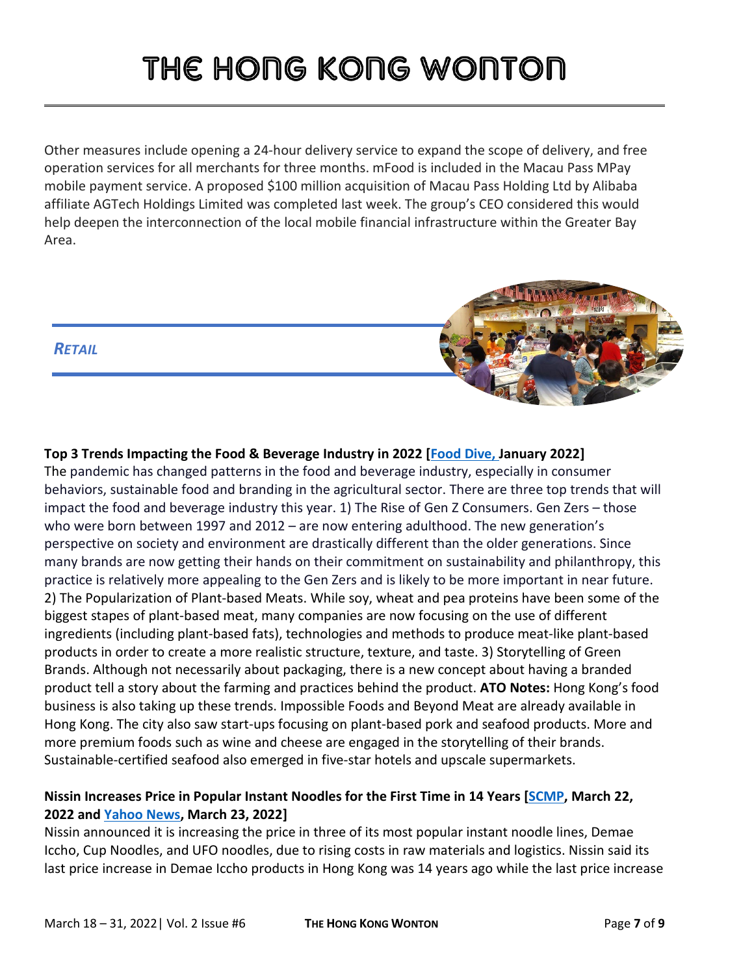Other measures include opening a 24-hour delivery service to expand the scope of delivery, and free operation services for all merchants for three months. mFood is included in the Macau Pass MPay mobile payment service. A proposed \$100 million acquisition of Macau Pass Holding Ltd by Alibaba affiliate AGTech Holdings Limited was completed last week. The group's CEO considered this would help deepen the interconnection of the local mobile financial infrastructure within the Greater Bay Area.

## *RETAIL*



The pandemic has changed patterns in the food and beverage industry, especially in consumer behaviors, sustainable food and branding in the agricultural sector. There are three top trends that will impact the food and beverage industry this year. 1) The Rise of Gen Z Consumers. Gen Zers – those who were born between 1997 and 2012 – are now entering adulthood. The new generation's perspective on society and environment are drastically different than the older generations. Since many brands are now getting their hands on their commitment on sustainability and philanthropy, this practice is relatively more appealing to the Gen Zers and is likely to be more important in near future. 2) The Popularization of Plant-based Meats. While soy, wheat and pea proteins have been some of the biggest stapes of plant-based meat, many companies are now focusing on the use of different ingredients (including plant-based fats), technologies and methods to produce meat-like plant-based products in order to create a more realistic structure, texture, and taste. 3) Storytelling of Green Brands. Although not necessarily about packaging, there is a new concept about having a branded product tell a story about the farming and practices behind the product. **ATO Notes:** Hong Kong's food business is also taking up these trends. Impossible Foods and Beyond Meat are already available in Hong Kong. The city also saw start-ups focusing on plant-based pork and seafood products. More and more premium foods such as wine and cheese are engaged in the storytelling of their brands. Sustainable-certified seafood also emerged in five-star hotels and upscale supermarkets.

### **Nissin Increases Price in Popular Instant Noodles for the First Time in 14 Years [\[SCMP,](https://www.scmp.com/business/companies/article/3171429/nissin-foods-raises-price-popular-instant-noodles-hong-kong) March 22, 2022 and [Yahoo News,](https://hk.news.yahoo.com/%E6%97%A5%E6%B8%85-%E5%87%BA%E5%89%8D%E4%B8%80%E4%B8%81-%E5%90%88%E5%91%B3%E9%81%93-%E5%8A%A0%E5%83%B9-223054806.html) March 23, 2022]**

Nissin announced it is increasing the price in three of its most popular instant noodle lines, Demae Iccho, Cup Noodles, and UFO noodles, due to rising costs in raw materials and logistics. Nissin said its last price increase in Demae Iccho products in Hong Kong was 14 years ago while the last price increase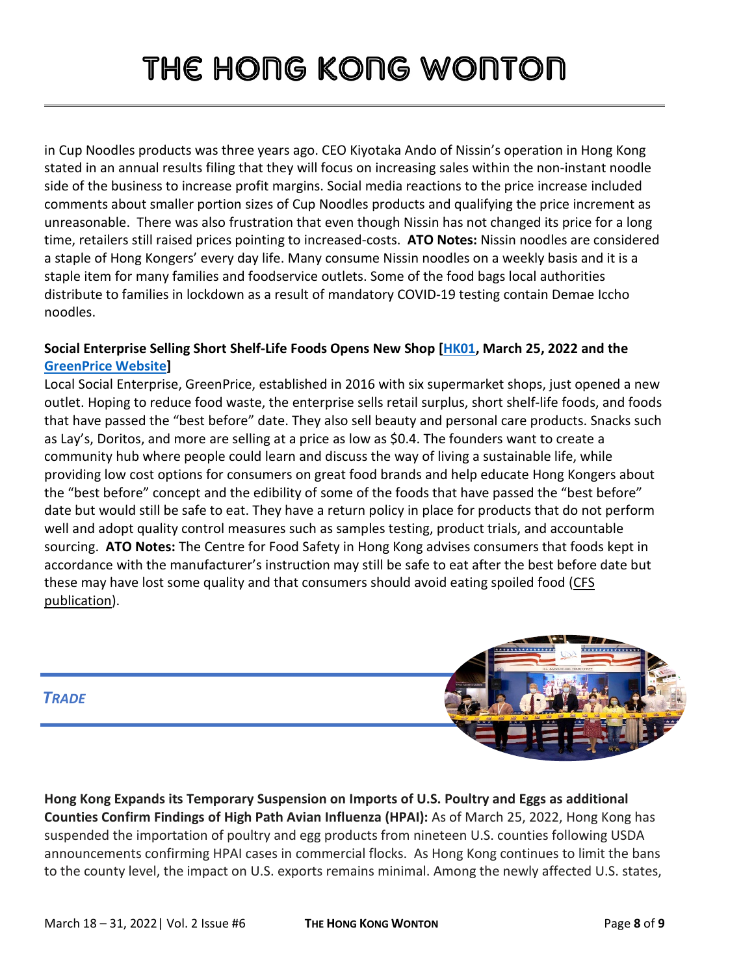in Cup Noodles products was three years ago. CEO Kiyotaka Ando of Nissin's operation in Hong Kong stated in an annual results filing that they will focus on increasing sales within the non-instant noodle side of the business to increase profit margins. Social media reactions to the price increase included comments about smaller portion sizes of Cup Noodles products and qualifying the price increment as unreasonable. There was also frustration that even though Nissin has not changed its price for a long time, retailers still raised prices pointing to increased-costs. **ATO Notes:** Nissin noodles are considered a staple of Hong Kongers' every day life. Many consume Nissin noodles on a weekly basis and it is a staple item for many families and foodservice outlets. Some of the food bags local authorities distribute to families in lockdown as a result of mandatory COVID-19 testing contain Demae Iccho noodles.

## **Social Enterprise Selling Short Shelf-Life Foods Opens New Shop [\[HK01,](https://www.hk01.com/%E9%A3%9F%E7%8E%A9%E8%B2%B7/750517/%E7%92%B0%E4%BF%9D%E8%B6%85%E5%B8%82green-price%E7%99%BB%E9%99%B8%E8%8D%83%E7%81%A3-%E5%95%86%E5%93%81-3%E8%B5%B7-%E5%94%AE%E5%B0%87%E9%81%8E%E6%9C%80%E4%BD%B3%E9%A3%9F%E7%94%A8%E6%97%A5%E6%9C%9F%E7%94%A2%E5%93%81) March 25, 2022 and the [GreenPrice Website\]](https://www.greenprice.com/)**

Local Social Enterprise, GreenPrice, established in 2016 with six supermarket shops, just opened a new outlet. Hoping to reduce food waste, the enterprise sells retail surplus, short shelf-life foods, and foods that have passed the "best before" date. They also sell beauty and personal care products. Snacks such as Lay's, Doritos, and more are selling at a price as low as \$0.4. The founders want to create a community hub where people could learn and discuss the way of living a sustainable life, while providing low cost options for consumers on great food brands and help educate Hong Kongers about the "best before" concept and the edibility of some of the foods that have passed the "best before" date but would still be safe to eat. They have a return policy in place for products that do not perform well and adopt quality control measures such as samples testing, product trials, and accountable sourcing. **ATO Notes:** The Centre for Food Safety in Hong Kong advises consumers that foods kept in accordance with the manufacturer's instruction may still be safe to eat after the best before date but these may have lost some quality and that consumers should avoid eating spoiled food [\(CFS](https://www.cfs.gov.hk/english/multimedia/multimedia_pub/multimedia_pub_fsf_101_02.html)  [publication\)](https://www.cfs.gov.hk/english/multimedia/multimedia_pub/multimedia_pub_fsf_101_02.html).



**Hong Kong Expands its Temporary Suspension on Imports of U.S. Poultry and Eggs as additional Counties Confirm Findings of High Path Avian Influenza (HPAI):** As of March 25, 2022, Hong Kong has suspended the importation of poultry and egg products from nineteen U.S. counties following USDA announcements confirming HPAI cases in commercial flocks. As Hong Kong continues to limit the bans to the county level, the impact on U.S. exports remains minimal. Among the newly affected U.S. states,